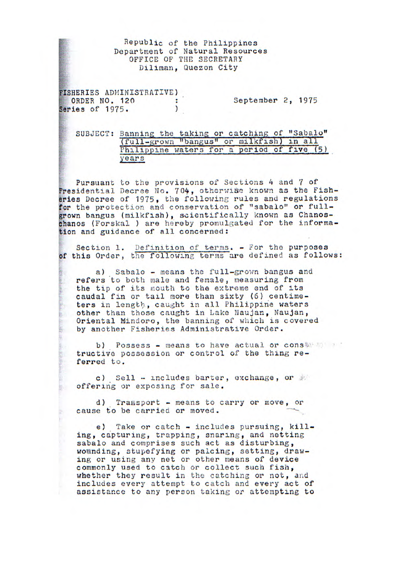## Republic of the Philippines Department of Natural Resources OFFICE OF THE SECRETARY Diliman, Quezon City

FISHERIES ADMINISTRATIVE) ORDER NO. 120 : September 2, 1975<br>ries of 1975. Series of 1975.

B.

SUBJECT: Banning the taking or catching of "Sabalo"<br>(full-grown "bangus" or milkfish) in all Philippine waters for a period of five (5) years

Pursuant to the provisions of Sections 4 and 7 of Presidential Decree No. 704, otherwise known as the Fisheries Decree of 1975, the following rules and regulations for the protection and conservation of "sabalo" or fullgrown bangus (milkfish), scientifically known as Chanoschanos (Forskal ) are hereby promulgated for the information and guidance of all concerned:

Section 1. Definition of terms. - For the purposes of this Order, *the* following terms are defined as follows:

a) Sabalo - means the full-grown bangus and refers to both male and female, measuring from the tip of its mouth to the extreme end of its caudal fin or tail more than sixty (6) centimeters in length, caught in all Philippine waters other than those caught in Lake Naujan, Naujan, Oriental Mindoro, the banning of which is covered by another Fisheries Administrative Order.

b) Possess - means to have actual or conservative tructive possession or control of the thing referred to.

c) Sell - includes barter, exchange, or offering or exposing for sale.

d) Tramsport - means to carry or move, or cause to be carried or moved.

e) Take or catch - includes pursuing, killing, capturing, trapping, snaring, and netting sabalo and comprises such act as disturbing, wounding, stupefying or palcing, setting, drawing or using any net or other means of device commonly used to catch or collect such fish, whether they result in the catching or not, and includes every attempt to catch and every act of assistance to any person taking or attempting to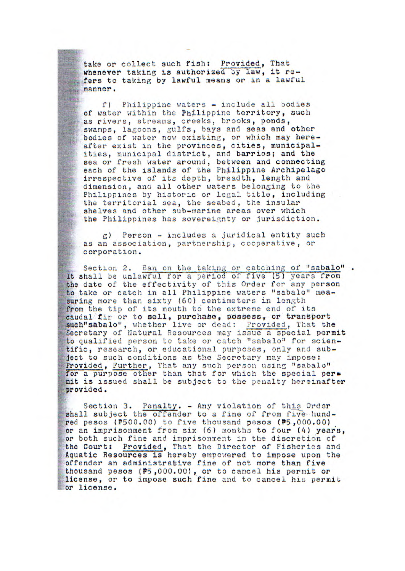take or *collect such fish:* Provided, That whenever taking is authorized by law, it refers to taking by lawful means or in a lawful manner.

f) Philippine waters - include all bodies of water within the Philippine territory, such as rivers, streams, creeks, brooks, ponds, swamps, lagoons, gulfs, bays and seas and other bodies of water now existing, or which may hereafter exist in the provinces, cities, municipalities, municipal district, and barrios; and the sea or fresh water around, between and connecting each of the islands of the Philippine Archipelago irrespective of its depth, breadth, length and dimension, and all other waters belonging to the *Philippines* by historic or legal title, including the territorial sea, the seabed, the insular shelves and other sub-marine areas over which the Philippines has sovereignty or jurisdiction.

 $g$ ) Person - includes a juridical entity such as an association, partnership, cooperative, or corporation.

Section 2. Ban on the taking or catching of "sabalo". *It shall be unlawful* for a period of five (5) years from the date of the effectivity of this Order for any person to take or catch in all Philippine waters "sabalo" measuring more than sixty (60) centimeters in length from the tip of its mouth to the extreme end of its caudal fir or to sell, purchase, **possess, or transport**  such"sabalo", whether *live* or dead: Provided, That the Secretary of Natural Resources may issue a special permit to qualified person to take or catch "sabalo" for scientific, research, or educational purposes, only and subject to such conditions as the Secretary may impose: Provided, Further, That any such person using "sabalo" for a purpose other than that for which the special permit is issued shall be subject to the penalty hereinafter provided.

Section 3. Penalty. - Any violation of this Order shall subject the offender to a fine of from five hundred pesos (P500.00) to five thousand pesos (P5,000.00) or an imprisonment from six (6) months to four (4) years, or both such fine and imprisonment in the discretion of the Court: Provided. That the Director of Fisheries an Provided, That the Director of Fisheries and Aquatic Resources is hereby empowered to impose upon the offender an administrative fine of not more than five thousand pesos (#5,000.00), or to cancel his permit or license, or to impose such fine and to cancel his permit or license.